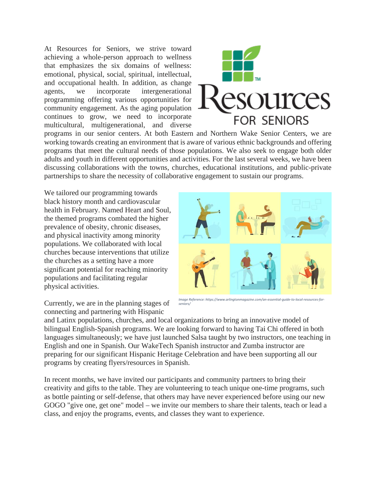At Resources for Seniors, we strive toward achieving a whole-person approach to wellness that emphasizes the six domains of wellness: emotional, physical, social, spiritual, intellectual, and occupational health. In addition, as change agents, we incorporate intergenerational programming offering various opportunities for community engagement. As the aging population continues to grow, we need to incorporate multicultural, multigenerational, and diverse



programs in our senior centers. At both Eastern and Northern Wake Senior Centers, we are working towards creating an environment that is aware of various ethnic backgrounds and offering programs that meet the cultural needs of those populations. We also seek to engage both older adults and youth in different opportunities and activities. For the last several weeks, we have been discussing collaborations with the towns, churches, educational institutions, and public-private partnerships to share the necessity of collaborative engagement to sustain our programs.

We tailored our programming towards black history month and cardiovascular health in February. Named Heart and Soul, the themed programs combated the higher prevalence of obesity, chronic diseases, and physical inactivity among minority populations. We collaborated with local churches because interventions that utilize the churches as a setting have a more significant potential for reaching minority populations and facilitating regular physical activities.



Currently, we are in the planning stages of connecting and partnering with Hispanic

*Image Reference: https://www.arlingtonmagazine.com/an-essential-guide-to-local-resources-forseniors/*

and Latinx populations, churches, and local organizations to bring an innovative model of bilingual English-Spanish programs. We are looking forward to having Tai Chi offered in both languages simultaneously; we have just launched Salsa taught by two instructors, one teaching in English and one in Spanish. Our WakeTech Spanish instructor and Zumba instructor are preparing for our significant Hispanic Heritage Celebration and have been supporting all our programs by creating flyers/resources in Spanish.

In recent months, we have invited our participants and community partners to bring their creativity and gifts to the table. They are volunteering to teach unique one-time programs, such as bottle painting or self-defense, that others may have never experienced before using our new GOGO "give one, get one" model – we invite our members to share their talents, teach or lead a class, and enjoy the programs, events, and classes they want to experience.